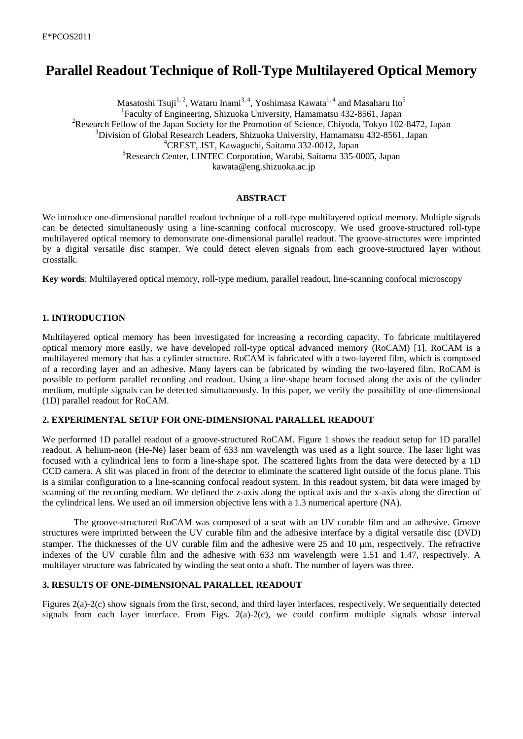# **Parallel Readout Technique of Roll-Type Multilayered Optical Memory**

Masatoshi Tsuji<sup>1, 2</sup>, Wataru Inami<sup>3, 4</sup>, Yoshimasa Kawata<sup>1, 4</sup> and Masaharu Ito<sup>5</sup> 1 Faculty of Engineering, Shizuoka University, Hamamatsu 432-8561, Japan <sup>2</sup>Research Fellow of the Japan Society for the Promotion of Science, Chiyoda, Tokyo 102-8472, Japan 3 Division of Global Research Leaders, Shizuoka University, Hamamatsu 432-8561, Japan 4 CREST, JST, Kawaguchi, Saitama 332-0012, Japan 5 Research Center, LINTEC Corporation, Warabi, Saitama 335-0005, Japan kawata@eng.shizuoka.ac.jp

## **ABSTRACT**

We introduce one-dimensional parallel readout technique of a roll-type multilayered optical memory. Multiple signals can be detected simultaneously using a line-scanning confocal microscopy. We used groove-structured roll-type multilayered optical memory to demonstrate one-dimensional parallel readout. The groove-structures were imprinted by a digital versatile disc stamper. We could detect eleven signals from each groove-structured layer without crosstalk.

**Key words**: Multilayered optical memory, roll-type medium, parallel readout, line-scanning confocal microscopy

## **1. INTRODUCTION**

Multilayered optical memory has been investigated for increasing a recording capacity. To fabricate multilayered optical memory more easily, we have developed roll-type optical advanced memory (RoCAM) [1]. RoCAM is a multilayered memory that has a cylinder structure. RoCAM is fabricated with a two-layered film, which is composed of a recording layer and an adhesive. Many layers can be fabricated by winding the two-layered film. RoCAM is possible to perform parallel recording and readout. Using a line-shape beam focused along the axis of the cylinder medium, multiple signals can be detected simultaneously. In this paper, we verify the possibility of one-dimensional (1D) parallel readout for RoCAM.

## **2. EXPERIMENTAL SETUP FOR ONE-DIMENSIONAL PARALLEL READOUT**

We performed 1D parallel readout of a groove-structured RoCAM. Figure 1 shows the readout setup for 1D parallel readout. A helium-neon (He-Ne) laser beam of 633 nm wavelength was used as a light source. The laser light was focused with a cylindrical lens to form a line-shape spot. The scattered lights from the data were detected by a 1D CCD camera. A slit was placed in front of the detector to eliminate the scattered light outside of the focus plane. This is a similar configuration to a line-scanning confocal readout system. In this readout system, bit data were imaged by scanning of the recording medium. We defined the z-axis along the optical axis and the x-axis along the direction of the cylindrical lens. We used an oil immersion objective lens with a 1.3 numerical aperture (NA).

The groove-structured RoCAM was composed of a seat with an UV curable film and an adhesive. Groove structures were imprinted between the UV curable film and the adhesive interface by a digital versatile disc (DVD) stamper. The thicknesses of the UV curable film and the adhesive were 25 and 10 μm, respectively. The refractive indexes of the UV curable film and the adhesive with 633 nm wavelength were 1.51 and 1.47, respectively. A multilayer structure was fabricated by winding the seat onto a shaft. The number of layers was three.

# **3. RESULTS OF ONE-DIMENSIONAL PARALLEL READOUT**

Figures 2(a)-2(c) show signals from the first, second, and third layer interfaces, respectively. We sequentially detected signals from each layer interface. From Figs.  $2(a)-2(c)$ , we could confirm multiple signals whose interval